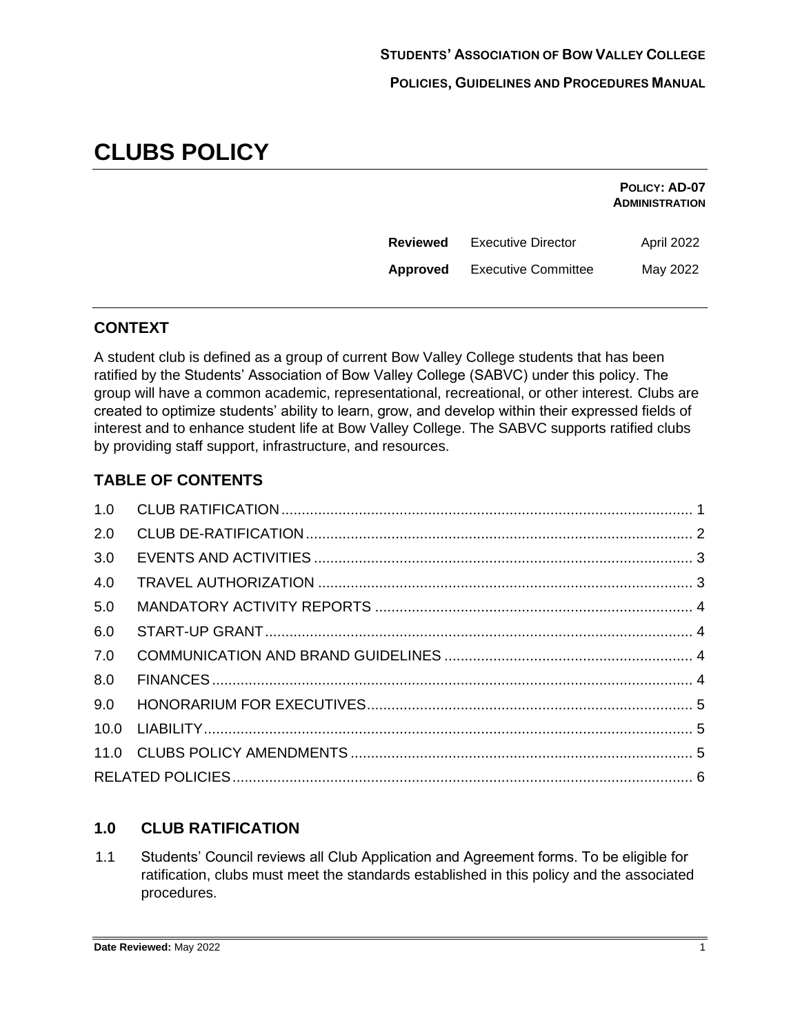# **CLUBS POLICY**

|                 |                            | POLICY: AD-07<br><b>ADMINISTRATION</b> |
|-----------------|----------------------------|----------------------------------------|
| <b>Reviewed</b> | <b>Executive Director</b>  | April 2022                             |
| Approved        | <b>Executive Committee</b> | May 2022                               |

# **CONTEXT**

A student club is defined as a group of current Bow Valley College students that has been ratified by the Students' Association of Bow Valley College (SABVC) under this policy. The group will have a common academic, representational, recreational, or other interest. Clubs are created to optimize students' ability to learn, grow, and develop within their expressed fields of interest and to enhance student life at Bow Valley College. The SABVC supports ratified clubs by providing staff support, infrastructure, and resources.

# **TABLE OF CONTENTS**

| 2.0 |  |
|-----|--|
| 3.0 |  |
| 4.0 |  |
| 5.0 |  |
| 6.0 |  |
| 7.0 |  |
| 8.0 |  |
| 9.0 |  |
|     |  |
|     |  |
|     |  |
|     |  |

# <span id="page-0-0"></span>**1.0 CLUB RATIFICATION**

1.1 Students' Council reviews all Club Application and Agreement forms. To be eligible for ratification, clubs must meet the standards established in this policy and the associated procedures.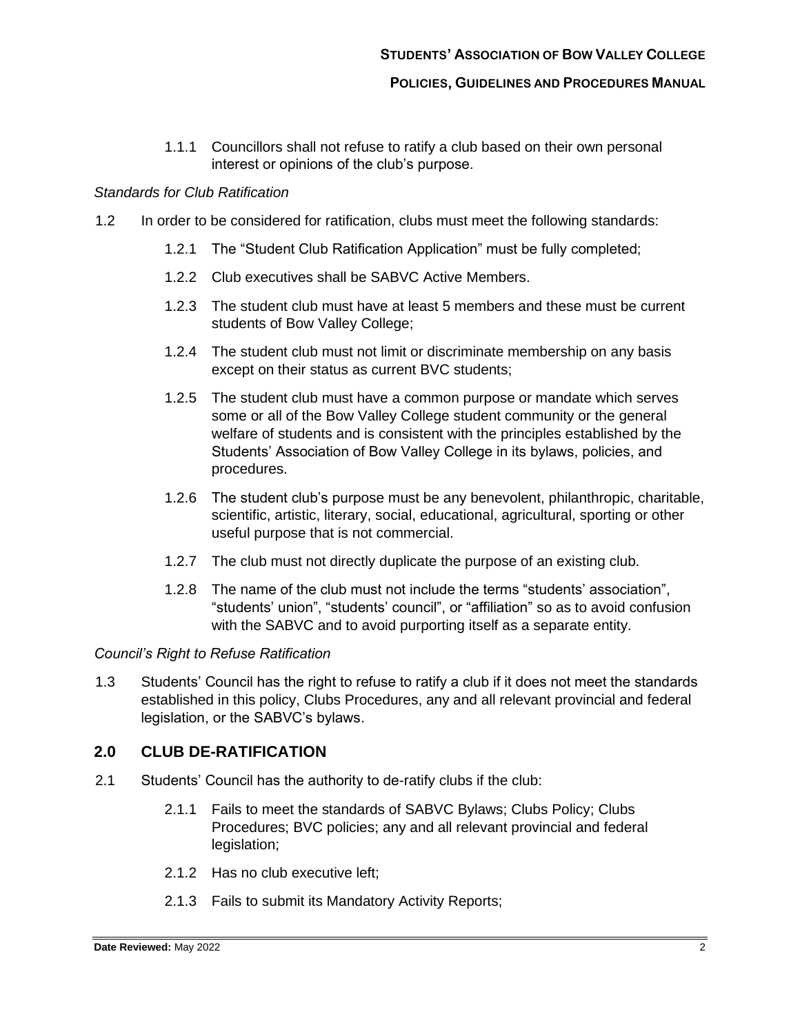#### **POLICIES, GUIDELINES AND PROCEDURES MANUAL**

1.1.1 Councillors shall not refuse to ratify a club based on their own personal interest or opinions of the club's purpose.

#### *Standards for Club Ratification*

- 1.2 In order to be considered for ratification, clubs must meet the following standards:
	- 1.2.1 The "Student Club Ratification Application" must be fully completed;
	- 1.2.2 Club executives shall be SABVC Active Members.
	- 1.2.3 The student club must have at least 5 members and these must be current students of Bow Valley College;
	- 1.2.4 The student club must not limit or discriminate membership on any basis except on their status as current BVC students;
	- 1.2.5 The student club must have a common purpose or mandate which serves some or all of the Bow Valley College student community or the general welfare of students and is consistent with the principles established by the Students' Association of Bow Valley College in its bylaws, policies, and procedures.
	- 1.2.6 The student club's purpose must be any benevolent, philanthropic, charitable, scientific, artistic, literary, social, educational, agricultural, sporting or other useful purpose that is not commercial.
	- 1.2.7 The club must not directly duplicate the purpose of an existing club.
	- 1.2.8 The name of the club must not include the terms "students' association", "students' union", "students' council", or "affiliation" so as to avoid confusion with the SABVC and to avoid purporting itself as a separate entity.

#### *Council's Right to Refuse Ratification*

1.3 Students' Council has the right to refuse to ratify a club if it does not meet the standards established in this policy, Clubs Procedures, any and all relevant provincial and federal legislation, or the SABVC's bylaws.

#### <span id="page-1-0"></span>**2.0 CLUB DE-RATIFICATION**

- 2.1 Students' Council has the authority to de-ratify clubs if the club:
	- 2.1.1 Fails to meet the standards of SABVC Bylaws; Clubs Policy; Clubs Procedures; BVC policies; any and all relevant provincial and federal legislation;
	- 2.1.2 Has no club executive left;
	- 2.1.3 Fails to submit its Mandatory Activity Reports;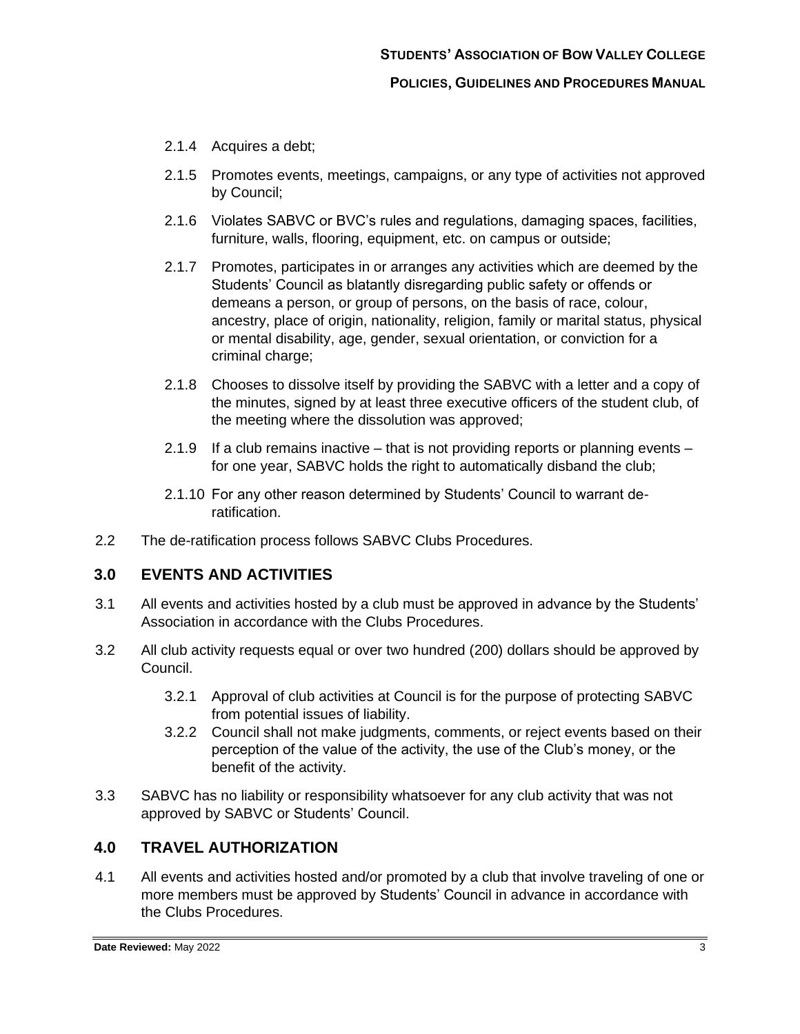- 2.1.4 Acquires a debt;
- 2.1.5 Promotes events, meetings, campaigns, or any type of activities not approved by Council;
- 2.1.6 Violates SABVC or BVC's rules and regulations, damaging spaces, facilities, furniture, walls, flooring, equipment, etc. on campus or outside;
- 2.1.7 Promotes, participates in or arranges any activities which are deemed by the Students' Council as blatantly disregarding public safety or offends or demeans a person, or group of persons, on the basis of race, colour, ancestry, place of origin, nationality, religion, family or marital status, physical or mental disability, age, gender, sexual orientation, or conviction for a criminal charge;
- 2.1.8 Chooses to dissolve itself by providing the SABVC with a letter and a copy of the minutes, signed by at least three executive officers of the student club, of the meeting where the dissolution was approved;
- 2.1.9 If a club remains inactive that is not providing reports or planning events for one year, SABVC holds the right to automatically disband the club;
- 2.1.10 For any other reason determined by Students' Council to warrant deratification.
- 2.2 The de-ratification process follows SABVC Clubs Procedures.

## <span id="page-2-0"></span>**3.0 EVENTS AND ACTIVITIES**

- 3.1 All events and activities hosted by a club must be approved in advance by the Students' Association in accordance with the Clubs Procedures.
- 3.2 All club activity requests equal or over two hundred (200) dollars should be approved by Council.
	- 3.2.1 Approval of club activities at Council is for the purpose of protecting SABVC from potential issues of liability.
	- 3.2.2 Council shall not make judgments, comments, or reject events based on their perception of the value of the activity, the use of the Club's money, or the benefit of the activity.
- 3.3 SABVC has no liability or responsibility whatsoever for any club activity that was not approved by SABVC or Students' Council.

## <span id="page-2-1"></span>**4.0 TRAVEL AUTHORIZATION**

4.1 All events and activities hosted and/or promoted by a club that involve traveling of one or more members must be approved by Students' Council in advance in accordance with the Clubs Procedures.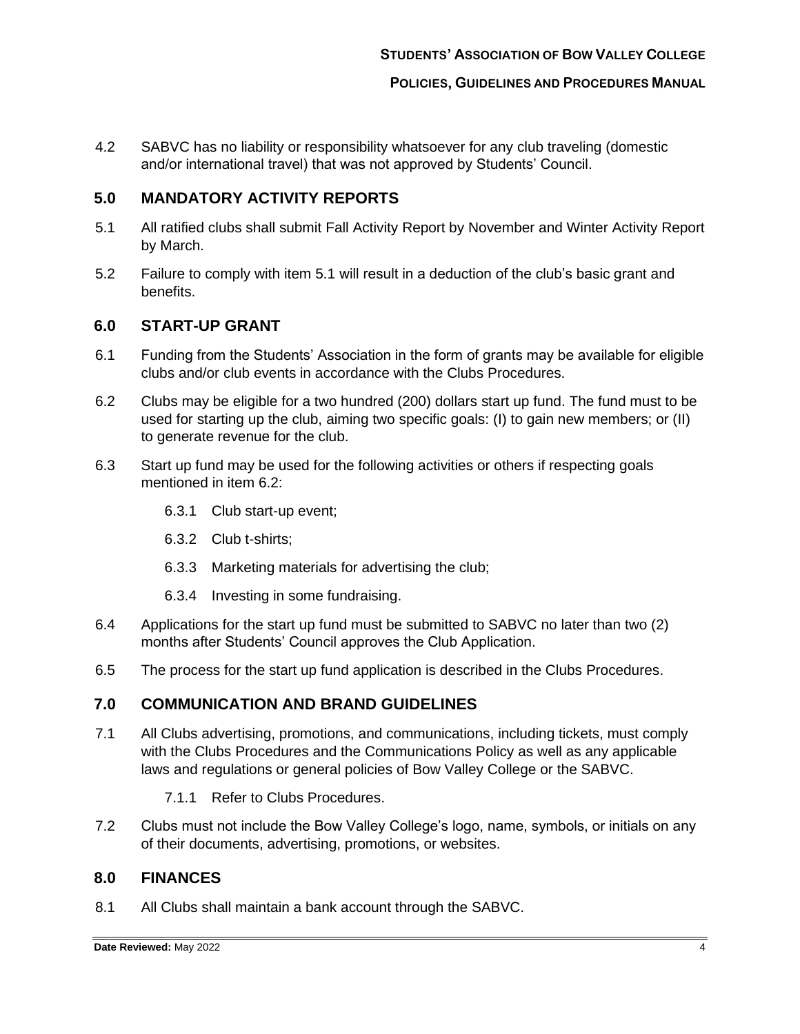4.2 SABVC has no liability or responsibility whatsoever for any club traveling (domestic and/or international travel) that was not approved by Students' Council.

## <span id="page-3-0"></span>**5.0 MANDATORY ACTIVITY REPORTS**

- 5.1 All ratified clubs shall submit Fall Activity Report by November and Winter Activity Report by March.
- 5.2 Failure to comply with item 5.1 will result in a deduction of the club's basic grant and benefits.

## <span id="page-3-1"></span>**6.0 START-UP GRANT**

- 6.1 Funding from the Students' Association in the form of grants may be available for eligible clubs and/or club events in accordance with the Clubs Procedures.
- 6.2 Clubs may be eligible for a two hundred (200) dollars start up fund. The fund must to be used for starting up the club, aiming two specific goals: (I) to gain new members; or (II) to generate revenue for the club.
- 6.3 Start up fund may be used for the following activities or others if respecting goals mentioned in item 6.2:
	- 6.3.1 Club start-up event;
	- 6.3.2 Club t-shirts;
	- 6.3.3 Marketing materials for advertising the club;
	- 6.3.4 Investing in some fundraising.
- 6.4 Applications for the start up fund must be submitted to SABVC no later than two (2) months after Students' Council approves the Club Application.
- 6.5 The process for the start up fund application is described in the Clubs Procedures.

#### <span id="page-3-2"></span>**7.0 COMMUNICATION AND BRAND GUIDELINES**

- 7.1 All Clubs advertising, promotions, and communications, including tickets, must comply with the Clubs Procedures and the Communications Policy as well as any applicable laws and regulations or general policies of Bow Valley College or the SABVC.
	- 7.1.1 Refer to Clubs Procedures.
- 7.2 Clubs must not include the Bow Valley College's logo, name, symbols, or initials on any of their documents, advertising, promotions, or websites.

#### <span id="page-3-3"></span>**8.0 FINANCES**

8.1 All Clubs shall maintain a bank account through the SABVC.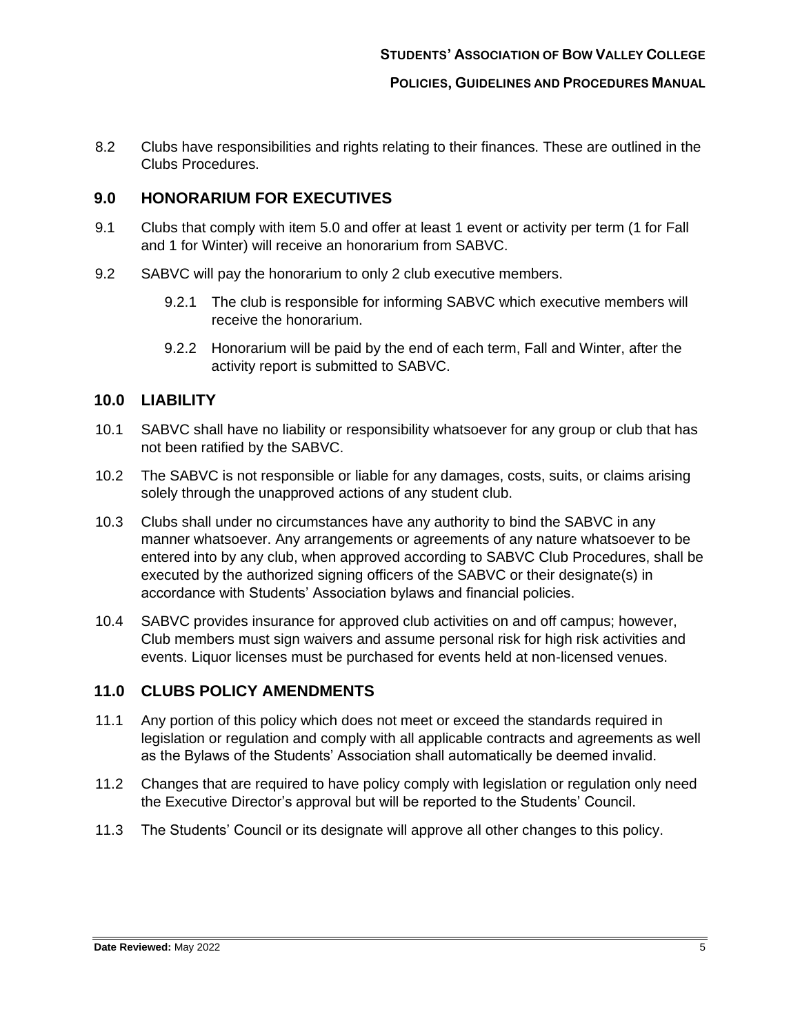**POLICIES, GUIDELINES AND PROCEDURES MANUAL**

8.2 Clubs have responsibilities and rights relating to their finances. These are outlined in the Clubs Procedures.

### <span id="page-4-0"></span>**9.0 HONORARIUM FOR EXECUTIVES**

- 9.1 Clubs that comply with item 5.0 and offer at least 1 event or activity per term (1 for Fall and 1 for Winter) will receive an honorarium from SABVC.
- 9.2 SABVC will pay the honorarium to only 2 club executive members.
	- 9.2.1 The club is responsible for informing SABVC which executive members will receive the honorarium.
	- 9.2.2 Honorarium will be paid by the end of each term, Fall and Winter, after the activity report is submitted to SABVC.

## <span id="page-4-1"></span>**10.0 LIABILITY**

- 10.1 SABVC shall have no liability or responsibility whatsoever for any group or club that has not been ratified by the SABVC.
- 10.2 The SABVC is not responsible or liable for any damages, costs, suits, or claims arising solely through the unapproved actions of any student club.
- 10.3 Clubs shall under no circumstances have any authority to bind the SABVC in any manner whatsoever. Any arrangements or agreements of any nature whatsoever to be entered into by any club, when approved according to SABVC Club Procedures, shall be executed by the authorized signing officers of the SABVC or their designate(s) in accordance with Students' Association bylaws and financial policies.
- 10.4 SABVC provides insurance for approved club activities on and off campus; however, Club members must sign waivers and assume personal risk for high risk activities and events. Liquor licenses must be purchased for events held at non-licensed venues.

### <span id="page-4-2"></span>**11.0 CLUBS POLICY AMENDMENTS**

- 11.1 Any portion of this policy which does not meet or exceed the standards required in legislation or regulation and comply with all applicable contracts and agreements as well as the Bylaws of the Students' Association shall automatically be deemed invalid.
- 11.2 Changes that are required to have policy comply with legislation or regulation only need the Executive Director's approval but will be reported to the Students' Council.
- 11.3 The Students' Council or its designate will approve all other changes to this policy.